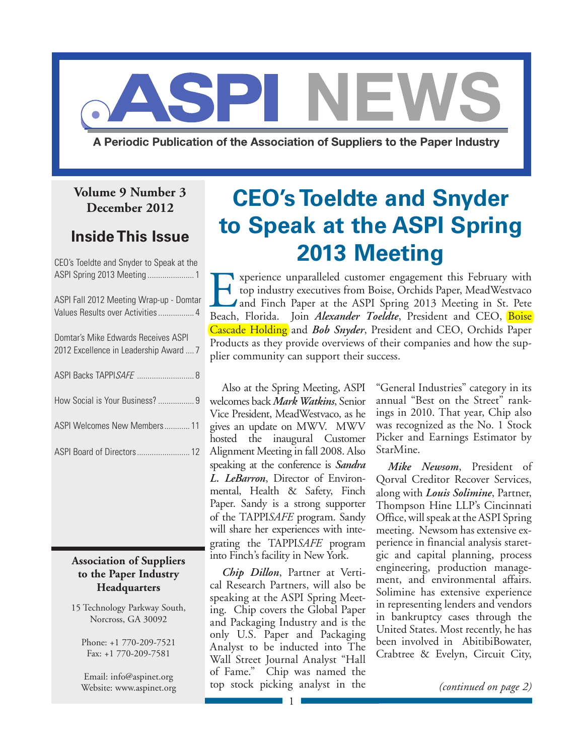

# **December 2012**

# **Inside This Issue**

| CEO's Toeldte and Snyder to Speak at the                                      |
|-------------------------------------------------------------------------------|
| ASPI Fall 2012 Meeting Wrap-up - Domtar                                       |
| Domtar's Mike Edwards Receives ASPI<br>2012 Excellence in Leadership Award  7 |
| ASPI Backs TAPPISAFE  8                                                       |
| How Social is Your Business?  9                                               |
| ASPI Welcomes New Members 11                                                  |
|                                                                               |
|                                                                               |

### **Association of Suppliers to the Paper Industry Headquarters**

15 Technology Parkway South, Norcross, GA 30092

Phone: +1 770-209-7521 Fax: +1 770-209-7581

Email: [info@aspinet.org](mailto:info@aspinet.org) Website: [www.aspinet.org](http://www.aspinet.org)

# **CEO's Toeldte and Snyder to Speak at the ASPI Spring 2013 Meeting**

Experience unparalleled customer engagement this February with<br>top industry executives from Boise, Orchids Paper, MeadWestvaco<br>and Finch Paper at the ASPI Spring 2013 Meeting in St. Pete<br>Beach. Florida. Ioin Alexander Toel top industry executives from Boise, Orchids Paper, MeadWestvaco and Finch Paper at the ASPI Spring 2013 Meeting in St. Pete Beach, Florida. Join *Alexander Toeldte*, President and CEO, Boise Cascade Holding and *Bob Snyder*, President and CEO, Orchids Paper Products as they provide overviews of their companies and how the supplier community can support their success.

Also at the Spring Meeting, ASPI welcomes back *Mark Watkins*, Senior Vice President, MeadWestvaco, as he gives an update on MWV. MWV hosted the inaugural Customer Alignment Meeting in fall 2008. Also speaking at the conference is *Sandra L. LeBarron*, Director of Environmental, Health & Safety, Finch Paper. Sandy is a strong supporter of the TAPPI*Safe* program. Sandy will share her experiences with integrating the TAPPI*Safe* program into Finch's facility in New York.

*Chip Dillon*, Partner at Vertical Research Partners, will also be speaking at the ASPI Spring Meeting. Chip covers the Global Paper and Packaging Industry and is the only U.S. Paper and Packaging Analyst to be inducted into The Wall Street Journal Analyst "Hall of Fame." Chip was named the top stock picking analyst in the

"General Industries" category in its annual "Best on the Street" rankings in 2010. That year, Chip also was recognized as the No. 1 Stock Picker and Earnings Estimator by StarMine.

*Mike Newsom*, President of Qorval Creditor Recover Services, along with *Louis Solimine*, Partner, Thompson Hine LLP's Cincinnati Office, will speak at the ASPI Spring meeting. Newsom has extensive experience in financial analysis staretgic and capital planning, process engineering, production management, and environmental affairs. Solimine has extensive experience in representing lenders and vendors in bankruptcy cases through the United States. Most recently, he has been involved in AbitibiBowater, Crabtree & Evelyn, Circuit City,

*(continued on page 2)*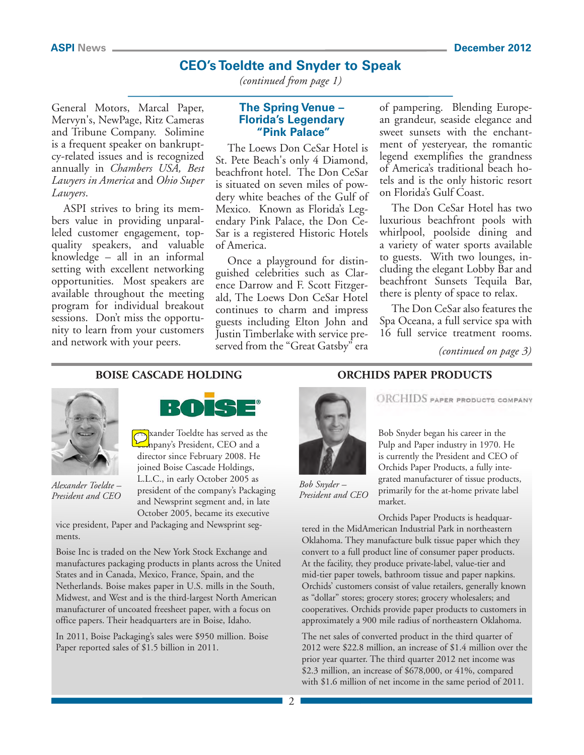# **CEO's Toeldte and Snyder to Speak**

*(continued from page 1)*

General Motors, Marcal Paper, Mervyn's, NewPage, Ritz Cameras and Tribune Company. Solimine is a frequent speaker on bankruptcy-related issues and is recognized annually in *Chambers USA, Best Lawyers in America* and *Ohio Super Lawyers*.

ASPI strives to bring its members value in providing unparalleled customer engagement, topquality speakers, and valuable knowledge – all in an informal setting with excellent networking opportunities. Most speakers are available throughout the meeting program for individual breakout sessions. Don't miss the opportunity to learn from your customers and network with your peers.

#### **The Spring Venue – Florida's Legendary "Pink Palace"**

The Loews Don CeSar Hotel is St. Pete Beach's only 4 Diamond, beachfront hotel. The Don CeSar is situated on seven miles of powdery white beaches of the Gulf of Mexico. Known as Florida's Legendary Pink Palace, the Don Ce-Sar is a registered Historic Hotels of America.

Once a playground for distinguished celebrities such as Clarence Darrow and F. Scott Fitzgerald, The Loews Don CeSar Hotel continues to charm and impress guests including Elton John and Justin Timberlake with service preserved from the "Great Gatsby" era

of pampering. Blending European grandeur, seaside elegance and sweet sunsets with the enchantment of yesteryear, the romantic legend exemplifies the grandness of America's traditional beach hotels and is the only historic resort on Florida's Gulf Coast.

The Don CeSar Hotel has two luxurious beachfront pools with whirlpool, poolside dining and a variety of water sports available to guests. With two lounges, including the elegant Lobby Bar and beachfront Sunsets Tequila Bar, there is plenty of space to relax.

The Don CeSar also features the Spa Oceana, a full service spa with 16 full service treatment rooms.

*(continued on page 3)*

#### **BOISE CASCADE HOLDING**



*Alexander Toeldte – President and CEO*



**Alexander Toeldte has served as the** npany's President, CEO and a director since February 2008. He joined Boise Cascade Holdings, L.L.C., in early October 2005 as president of the company's Packaging and Newsprint segment and, in late October 2005, became its executive

vice president, Paper and Packaging and Newsprint segments.

Boise Inc is traded on the New York Stock Exchange and manufactures packaging products in plants across the United States and in Canada, Mexico, France, Spain, and the Netherlands. Boise makes paper in U.S. mills in the South, Midwest, and West and is the third-largest North American manufacturer of uncoated freesheet paper, with a focus on office papers. Their headquarters are in Boise, Idaho.

In 2011, Boise Packaging's sales were \$950 million. Boise Paper reported sales of \$1.5 billion in 2011.

#### **ORCHIDS PAPER PRODUCTS**



**ORCHIDS** PAPER PRODUCTS COMPANY

Bob Snyder began his career in the Pulp and Paper industry in 1970. He is currently the President and CEO of Orchids Paper Products, a fully integrated manufacturer of tissue products, primarily for the at-home private label market.

*Bob Snyder – President and CEO*

Orchids Paper Products is headquartered in the MidAmerican Industrial Park in northeastern Oklahoma. They manufacture bulk tissue paper which they convert to a full product line of consumer paper products. At the facility, they produce private-label, value-tier and mid-tier paper towels, bathroom tissue and paper napkins. Orchids' customers consist of value retailers, generally known as "dollar" stores; grocery stores; grocery wholesalers; and cooperatives. Orchids provide paper products to customers in approximately a 900 mile radius of northeastern Oklahoma.

The net sales of converted product in the third quarter of 2012 were \$22.8 million, an increase of \$1.4 million over the prior year quarter. The third quarter 2012 net income was \$2.3 million, an increase of \$678,000, or 41%, compared with \$1.6 million of net income in the same period of 2011.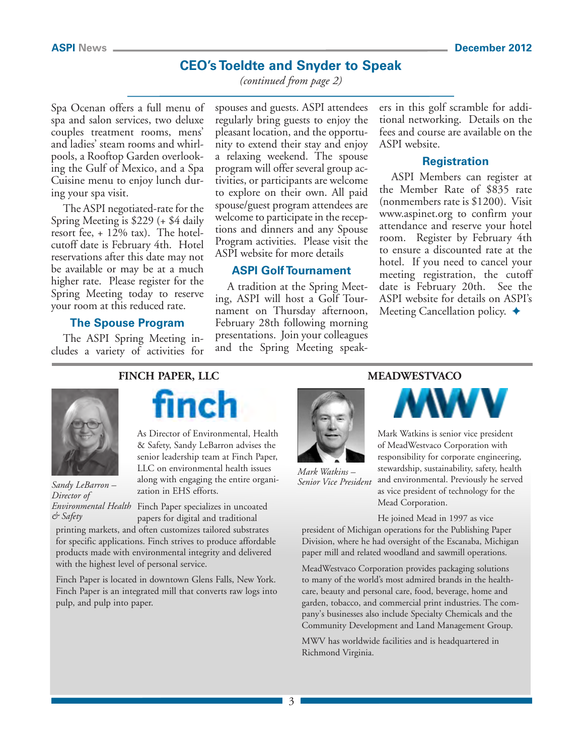# **CEO's Toeldte and Snyder to Speak**

*(continued from page 2)*

Spa Ocenan offers a full menu of spa and salon services, two deluxe couples treatment rooms, mens' and ladies' steam rooms and whirlpools, a Rooftop Garden overlooking the Gulf of Mexico, and a Spa Cuisine menu to enjoy lunch during your spa visit.

The ASPI negotiated-rate for the Spring Meeting is \$229 (+ \$4 daily resort fee, + 12% tax). The hotelcutoff date is February 4th. Hotel reservations after this date may not be available or may be at a much higher rate. Please [register](www.aspinet.org) for the Spring Meeting today to reserve your room at this reduced rate.

#### **The Spouse Program**

The ASPI Spring Meeting includes a variety of activities for spouses and guests. ASPI attendees regularly bring guests to enjoy the pleasant location, and the opportunity to extend their stay and enjoy a relaxing weekend. The spouse program will offer several group activities, or participants are welcome to explore on their own. All paid spouse/guest program attendees are welcome to participate in the receptions and dinners and any Spouse Program activities. Please visit the ASPI website for more details

#### **ASPI Golf Tournament**

A tradition at the Spring Meeting, ASPI will host a Golf Tournament on Thursday afternoon, February 28th following morning presentations. Join your colleagues and the Spring Meeting speakers in this golf scramble for additional networking. Details on the fees and course are available on the ASPI [website.](www.aspinet.org) 

#### **Registration**

ASPI Members can register at the Member Rate of \$835 rate (nonmembers rate is \$1200). Visit [www.aspinet.org](http://www.aspinet.org) to confirm your attendance and reserve your hotel room. Register by February 4th to ensure a discounted rate at the hotel. If you need to cancel your meeting registration, the cutoff date is February 20th. See the [ASPI website](www.aspinet.org) for details on ASPI's Meeting Cancellation policy.  $\triangleleft$ 



*Sandy LeBarron – Director of & Safety*

### **FINCH PAPER, LLC**

finch

As Director of Environmental, Health & Safety, Sandy LeBarron advises the senior leadership team at Finch Paper, LLC on environmental health issues along with engaging the entire organization in EHS efforts.

Environmental Health Finch Paper specializes in uncoated papers for digital and traditional

printing markets, and often customizes tailored substrates for specific applications. Finch strives to produce affordable products made with environmental integrity and delivered with the highest level of personal service.

Finch Paper is located in downtown Glens Falls, New York. Finch Paper is an integrated mill that converts raw logs into pulp, and pulp into paper.

### **MEADWESTVACO**



*Mark Watkins – Senior Vice President*



Mark Watkins is senior vice president of MeadWestvaco Corporation with responsibility for corporate engineering, stewardship, sustainability, safety, health and environmental. Previously he served as vice president of technology for the Mead Corporation.

He joined Mead in 1997 as vice president of Michigan operations for the Publishing Paper Division, where he had oversight of the Escanaba, Michigan paper mill and related woodland and sawmill operations.

MeadWestvaco Corporation provides packaging solutions to many of the world's most admired brands in the healthcare, beauty and personal care, food, beverage, home and garden, tobacco, and commercial print industries. The company's businesses also include Specialty Chemicals and the Community Development and Land Management Group.

MWV has worldwide facilities and is headquartered in Richmond Virginia.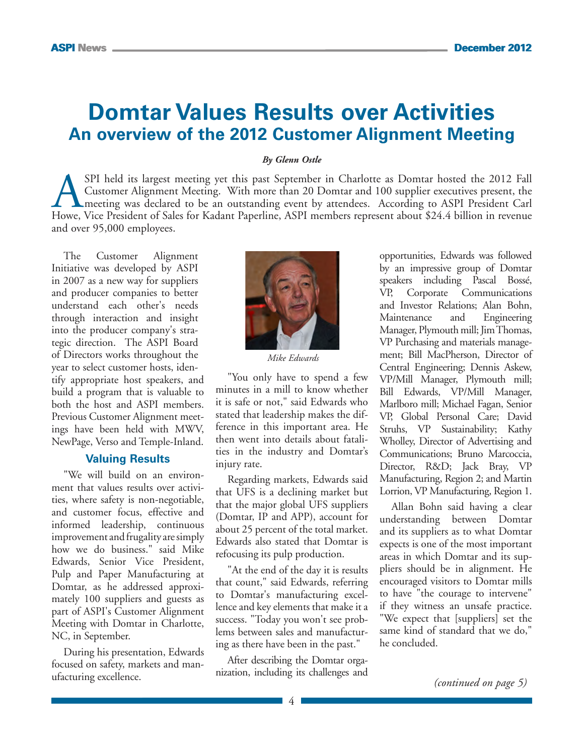# **Domtar Values Results over Activities An overview of the 2012 Customer Alignment Meeting**

#### *By Glenn Ostle*

SPI held its largest meeting yet this past September in Charlotte as Domtar hosted the 2012 Fall<br>Customer Alignment Meeting. With more than 20 Domtar and 100 supplier executives present, the<br>meeting was declared to be an o Customer Alignment Meeting. With more than 20 Domtar and 100 supplier executives present, the meeting was declared to be an outstanding event by attendees. According to ASPI President Carl Howe, Vice President of Sales for Kadant Paperline, ASPI members represent about \$24.4 billion in revenue and over 95,000 employees.

The Customer Alignment Initiative was developed by ASPI in 2007 as a new way for suppliers and producer companies to better understand each other's needs through interaction and insight into the producer company's strategic direction. The ASPI Board of Directors works throughout the year to select customer hosts, identify appropriate host speakers, and build a program that is valuable to both the host and ASPI members. Previous Customer Alignment meetings have been held with MWV, NewPage, Verso and Temple-Inland.

#### **Valuing Results**

"We will build on an environment that values results over activities, where safety is non-negotiable, and customer focus, effective and informed leadership, continuous improvement and frugality are simply how we do business." said Mike Edwards, Senior Vice President, Pulp and Paper Manufacturing at Domtar, as he addressed approximately 100 suppliers and guests as part of ASPI's Customer Alignment Meeting with Domtar in Charlotte, NC, in September.

During his presentation, Edwards focused on safety, markets and manufacturing excellence.



*Mike Edwards*

"You only have to spend a few minutes in a mill to know whether it is safe or not," said Edwards who stated that leadership makes the difference in this important area. He then went into details about fatalities in the industry and Domtar's injury rate.

Regarding markets, Edwards said that UFS is a declining market but that the major global UFS suppliers (Domtar, IP and APP), account for about 25 percent of the total market. Edwards also stated that Domtar is refocusing its pulp production.

"At the end of the day it is results that count," said Edwards, referring to Domtar's manufacturing excellence and key elements that make it a success. "Today you won't see problems between sales and manufacturing as there have been in the past."

After describing the Domtar organization, including its challenges and opportunities, Edwards was followed by an impressive group of Domtar speakers including Pascal Bossé, VP, Corporate Communications and Investor Relations; Alan Bohn, Maintenance and Engineering Manager, Plymouth mill; Jim Thomas, VP Purchasing and materials management; Bill MacPherson, Director of Central Engineering; Dennis Askew, VP/Mill Manager, Plymouth mill; Bill Edwards, VP/Mill Manager, Marlboro mill; Michael Fagan, Senior VP, Global Personal Care; David Struhs, VP Sustainability; Kathy Wholley, Director of Advertising and Communications; Bruno Marcoccia, Director, R&D; Jack Bray, VP Manufacturing, Region 2; and Martin Lorrion, VP Manufacturing, Region 1.

Allan Bohn said having a clear understanding between Domtar and its suppliers as to what Domtar expects is one of the most important areas in which Domtar and its suppliers should be in alignment. He encouraged visitors to Domtar mills to have "the courage to intervene" if they witness an unsafe practice. "We expect that [suppliers] set the same kind of standard that we do," he concluded.

*(continued on page 5)*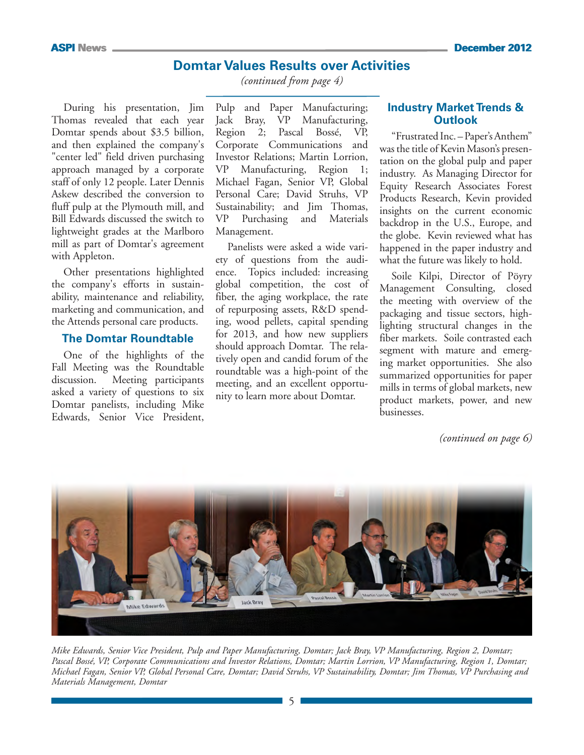### **Domtar Values Results over Activities**

*(continued from page 4)*

During his presentation, Jim Thomas revealed that each year Domtar spends about \$3.5 billion, and then explained the company's "center led" field driven purchasing approach managed by a corporate staff of only 12 people. Later Dennis Askew described the conversion to fluff pulp at the Plymouth mill, and Bill Edwards discussed the switch to lightweight grades at the Marlboro mill as part of Domtar's agreement with Appleton.

Other presentations highlighted the company's efforts in sustainability, maintenance and reliability, marketing and communication, and the Attends personal care products.

#### **The Domtar Roundtable**

One of the highlights of the Fall Meeting was the Roundtable discussion. Meeting participants asked a variety of questions to six Domtar panelists, including Mike Edwards, Senior Vice President,

Pulp and Paper Manufacturing; Jack Bray, VP Manufacturing, Region 2; Pascal Bossé, VP, Corporate Communications and Investor Relations; Martin Lorrion, VP Manufacturing, Region 1; Michael Fagan, Senior VP, Global Personal Care; David Struhs, VP Sustainability; and Jim Thomas, VP Purchasing and Materials Management.

Panelists were asked a wide variety of questions from the audience. Topics included: increasing global competition, the cost of fiber, the aging workplace, the rate of repurposing assets, R&D spending, wood pellets, capital spending for 2013, and how new suppliers should approach Domtar. The relatively open and candid forum of the roundtable was a high-point of the meeting, and an excellent opportunity to learn more about Domtar.

#### **Industry Market Trends & Outlook**

"Frustrated Inc. – Paper's Anthem" was the title of Kevin Mason's presentation on the global pulp and paper industry. As Managing Director for Equity Research Associates Forest Products Research, Kevin provided insights on the current economic backdrop in the U.S., Europe, and the globe. Kevin reviewed what has happened in the paper industry and what the future was likely to hold.

Soile Kilpi, Director of Pöyry Management Consulting, closed the meeting with overview of the packaging and tissue sectors, highlighting structural changes in the fiber markets. Soile contrasted each segment with mature and emerging market opportunities. She also summarized opportunities for paper mills in terms of global markets, new product markets, power, and new businesses.

*(continued on page 6)*



*Mike Edwards, Senior Vice President, Pulp and Paper Manufacturing, Domtar; Jack Bray, VP Manufacturing, Region 2, Domtar; Pascal Bossé, VP, Corporate Communications and Investor Relations, Domtar; Martin Lorrion, VP Manufacturing, Region 1, Domtar; Michael Fagan, Senior VP, Global Personal Care, Domtar; David Struhs, VP Sustainability, Domtar; Jim Thomas, VP Purchasing and Materials Management, Domtar*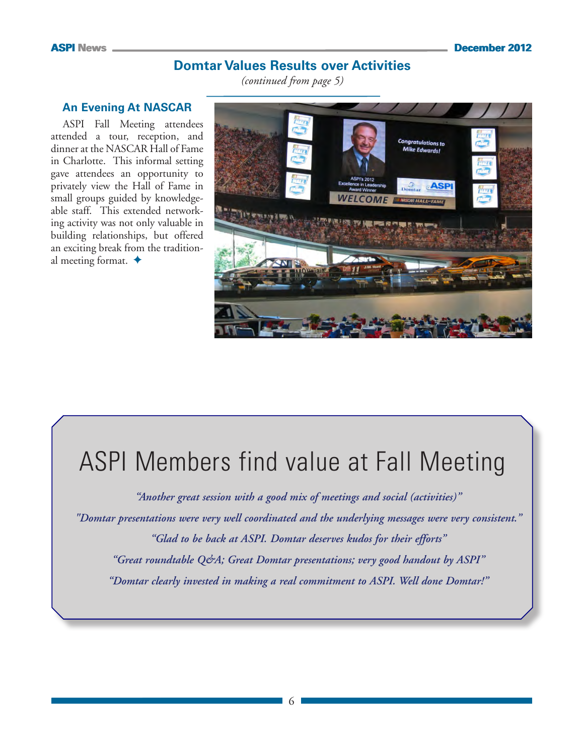# **Domtar Values Results over Activities**

*(continued from page 5)*

#### **An Evening At NASCAR**

ASPI Fall Meeting attendees attended a tour, reception, and dinner at the NASCAR Hall of Fame in Charlotte. This informal setting gave attendees an opportunity to privately view the Hall of Fame in small groups guided by knowledgeable staff. This extended networking activity was not only valuable in building relationships, but offered an exciting break from the traditional meeting format.  $\triangleleft$ 



# ASPI Members find value at Fall Meeting

*"Another great session with a good mix of meetings and social (activities)" "Domtar presentations were very well coordinated and the underlying messages were very consistent." "Glad to be back at ASPI. Domtar deserves kudos for their efforts" "Great roundtable Q&A; Great Domtar presentations; very good handout by ASPI" "Domtar clearly invested in making a real commitment to ASPI. Well done Domtar!"*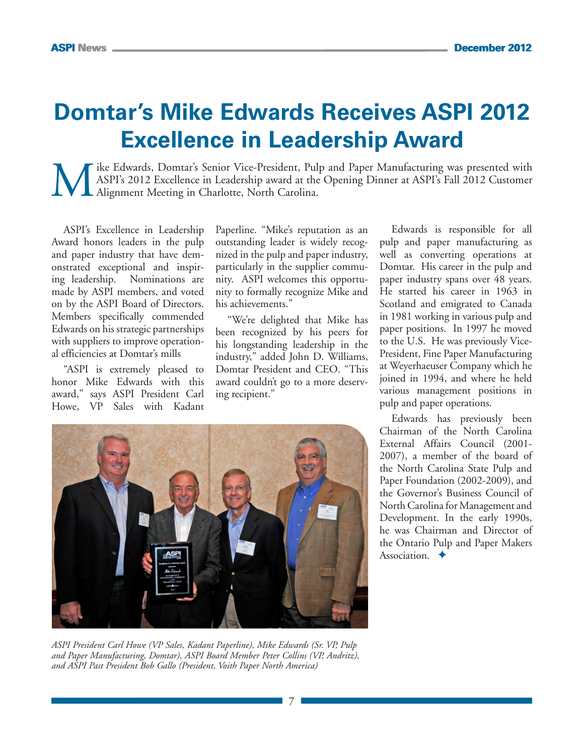# **Domtar's Mike Edwards Receives ASPI 2012 Excellence in Leadership Award**

Wike Edwards, Domtar's Senior Vice-President, Pulp and Paper Manufacturing was presented with<br>ASPI's 2012 Excellence in Leadership award at the Opening Dinner at ASPI's Fall 2012 Customer<br>Alignment Meeting in Charlotte, No ASPI's 2012 Excellence in Leadership award at the Opening Dinner at ASPI's Fall 2012 Customer Alignment Meeting in Charlotte, North Carolina.

ASPI's Excellence in Leadership Award honors leaders in the pulp and paper industry that have demonstrated exceptional and inspiring leadership. Nominations are made by ASPI members, and voted on by the ASPI Board of Directors. Members specifically commended Edwards on his strategic partnerships with suppliers to improve operational efficiencies at Domtar's mills

"ASPI is extremely pleased to honor Mike Edwards with this award," says ASPI President Carl Howe, VP Sales with Kadant

Paperline. "Mike's reputation as an outstanding leader is widely recognized in the pulp and paper industry, particularly in the supplier community. ASPI welcomes this opportunity to formally recognize Mike and his achievements."

"We're delighted that Mike has been recognized by his peers for his longstanding leadership in the industry," added John D. Williams, Domtar President and CEO. "This award couldn't go to a more deserving recipient."

Edwards is responsible for all pulp and paper manufacturing as well as converting operations at Domtar. His career in the pulp and paper industry spans over 48 years. He started his career in 1963 in Scotland and emigrated to Canada in 1981 working in various pulp and paper positions. In 1997 he moved to the U.S. He was previously Vice-President, Fine Paper Manufacturing at Weyerhaeuser Company which he joined in 1994, and where he held various management positions in pulp and paper operations.

Edwards has previously been Chairman of the North Carolina External Affairs Council (2001- 2007), a member of the board of the North Carolina State Pulp and Paper Foundation (2002-2009), and the Governor's Business Council of North Carolina for Management and Development. In the early 1990s, he was Chairman and Director of the Ontario Pulp and Paper Makers Association.  $\triangle$ 



*ASPI President Carl Howe (VP Sales, Kadant Paperline), Mike Edwards (Sr. VP, Pulp and Paper Manufacturing, Domtar), ASPI Board Member Peter Collins (VP, Andritz), and ASPI Past President Bob Gallo (President, Voith Paper North America)*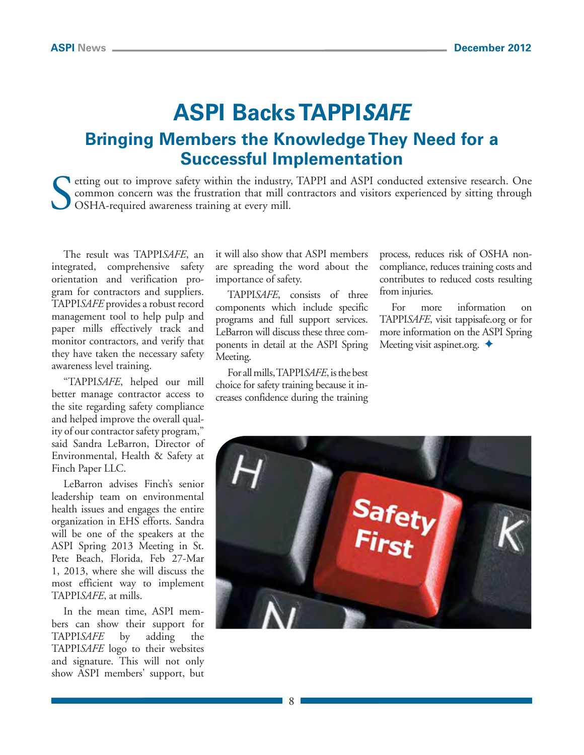# **ASPI Backs TAPPI***Safe* **Bringing Members the Knowledge They Need for a Successful Implementation**

**N** etting out to improve safety within the industry, TAPPI and ASPI conducted extensive research. One common concern was the frustration that mill contractors and visitors experienced by sitting through OSHA-required awareness training at every mill.

The result was TAPPI*SAFE*, an integrated, comprehensive safety orientation and verification program for contractors and suppliers. TAPPI*SAFE* provides a robust record management tool to help pulp and paper mills effectively track and monitor contractors, and verify that they have taken the necessary safety awareness level training.

"TAPPI*SAFE*, helped our mill better manage contractor access to the site regarding safety compliance and helped improve the overall quality of our contractor safety program," said Sandra LeBarron, Director of Environmental, Health & Safety at Finch Paper LLC.

LeBarron advises Finch's senior leadership team on environmental health issues and engages the entire organization in EHS efforts. Sandra will be one of the speakers at the [ASPI Spring 2013 Meeting](www.aspinet.org) in St. Pete Beach, Florida, Feb 27-Mar 1, 2013, where she will discuss the most efficient way to implement TAPPI*SAFE*, at mills.

In the mean time, ASPI members can show their support for TAPPI*SAFE* by adding the TAPPI*SAFE* logo to their websites and signature. This will not only show ASPI members' support, but

it will also show that ASPI members are spreading the word about the importance of safety.

TAPPI*SAFE*, consists of three components which include specific programs and full support services. LeBarron will discuss these three components in detail at the ASPI Spring Meeting.

For all mills, TAPPI*SAFE*, is the best choice for safety training because it increases confidence during the training process, reduces risk of OSHA noncompliance, reduces training costs and contributes to reduced costs resulting from injuries.

For more information on TAPPI*SAFE*, visit [tappisafe.org](http://www.tappisafe.org) or for more information on the ASPI Spring Meeting visit [aspinet.org.](www.aspinet.org)  $\triangleleft$ 

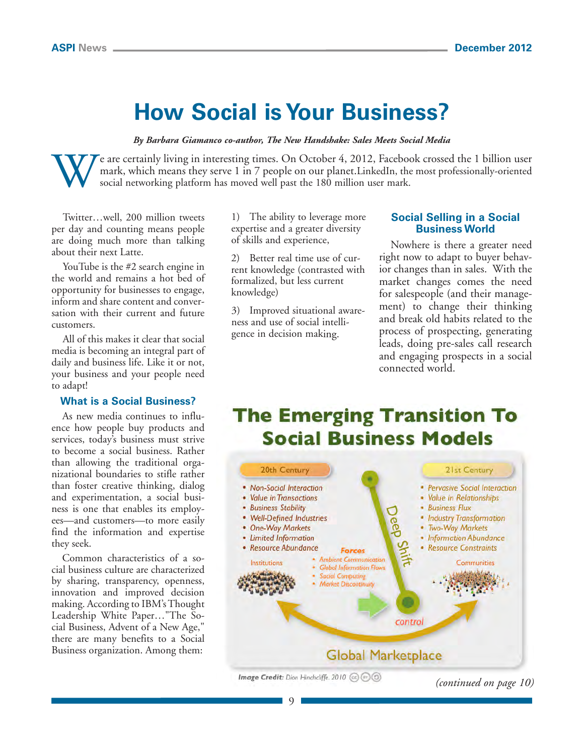# **How Social is Your Business?**

*By Barbara Giamanco co-author, The New Handshake: Sales Meets Social Media*

We are certainly living in interesting times. On October 4, 2012, Facebook crossed the 1 billion user mark, which means they serve 1 in 7 people on our planet.LinkedIn, the most professionally-oriented social networking pl mark, which means they serve 1 in 7 people on our planet.LinkedIn, the most professionally-oriented social networking platform has moved well past the 180 million user mark.

Twitter…well, 200 million tweets per day and counting means people are doing much more than talking about their next Latte.

YouTube is the #2 search engine in the world and remains a hot bed of opportunity for businesses to engage, inform and share content and conversation with their current and future customers.

All of this makes it clear that social media is becoming an integral part of daily and business life. Like it or not, your business and your people need to adapt!

#### **What is a Social Business?**

As new media continues to influence how people buy products and services, today's business must strive to become a social business. Rather than allowing the traditional organizational boundaries to stifle rather than foster creative thinking, dialog and experimentation, a social business is one that enables its employees—and customers—to more easily find the information and expertise they seek.

Common characteristics of a social business culture are characterized by sharing, transparency, openness, innovation and improved decision making. According to IBM's Thought Leadership White Paper…"The Social Business, Advent of a New Age," there are many benefits to a Social Business organization. Among them:

1) The ability to leverage more expertise and a greater diversity of skills and experience,

2) Better real time use of current knowledge (contrasted with formalized, but less current knowledge)

3) Improved situational awareness and use of social intelligence in decision making.

#### **Social Selling in a Social Business World**

Nowhere is there a greater need right now to adapt to buyer behavior changes than in sales. With the market changes comes the need for salespeople (and their management) to change their thinking and break old habits related to the process of prospecting, generating leads, doing pre-sales call research and engaging prospects in a social connected world.

# **The Emerging Transition To Social Business Models**

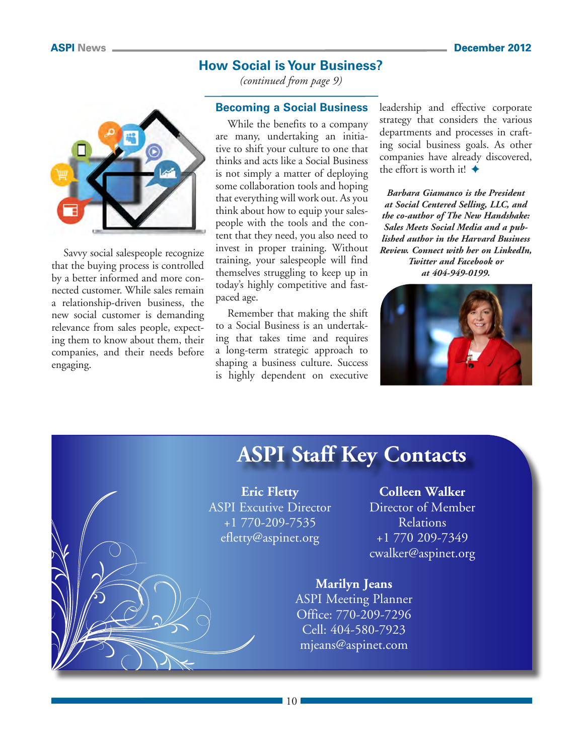### **How Social is Your Business?**

*(continued from page 9)*



Savvy social salespeople recognize that the buying process is controlled by a better informed and more connected customer. While sales remain a relationship-driven business, the new social customer is demanding relevance from sales people, expecting them to know about them, their companies, and their needs before engaging.

#### **Becoming a Social Business**

While the benefits to a company are many, undertaking an initiative to shift your culture to one that thinks and acts like a Social Business is not simply a matter of deploying some collaboration tools and hoping that everything will work out. As you think about how to equip your salespeople with the tools and the content that they need, you also need to invest in proper training. Without training, your salespeople will find themselves struggling to keep up in today's highly competitive and fastpaced age.

Remember that making the shift to a Social Business is an undertaking that takes time and requires a long-term strategic approach to shaping a business culture. Success is highly dependent on executive leadership and effective corporate strategy that considers the various departments and processes in crafting social business goals. As other companies have already discovered, the effort is worth it!  $\triangleleft$ 

*Barbara Giamanco is the President at Social Centered Selling, LLC, and the co-author of The New Handshake: Sales Meets Social Media and a published author in the Harvard Business Review. Connect with her on LinkedIn, Twitter and Facebook or at 404-949-0199.*



# **ASPI Staff Key Contacts**

**Eric Fletty** ASPI Excutive Director +1 770-209-7535 [efletty@aspinet.org](mailto:efletty@aspinet.org)

**Colleen Walker** Director of Member Relations +1 770 209-7349 [cwalker@aspinet.org](mailto:cwalker@aspinet.org)

**Marilyn Jeans** ASPI Meeting Planner Office: 770-209-7296 Cell: 404-580-7923 [mjeans@aspinet.com](mailto:mjeans@aspinet.com)

10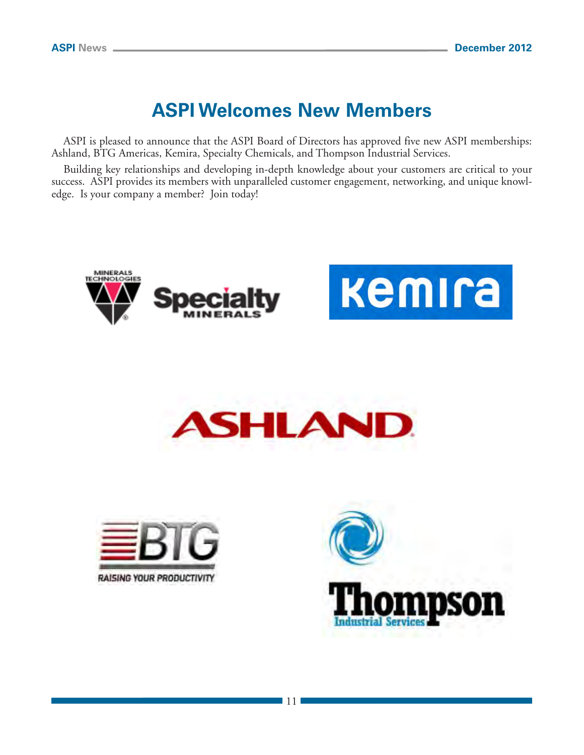# **ASPI Welcomes New Members**

ASPI is pleased to announce that the ASPI Board of Directors has approved five new ASPI memberships: Ashland, BTG Americas, Kemira, Specialty Chemicals, and Thompson Industrial Services.

Building key relationships and developing in-depth knowledge about your customers are critical to your success. ASPI provides its members with unparalleled customer engagement, networking, and unique knowledge. Is your company a member? Join today!